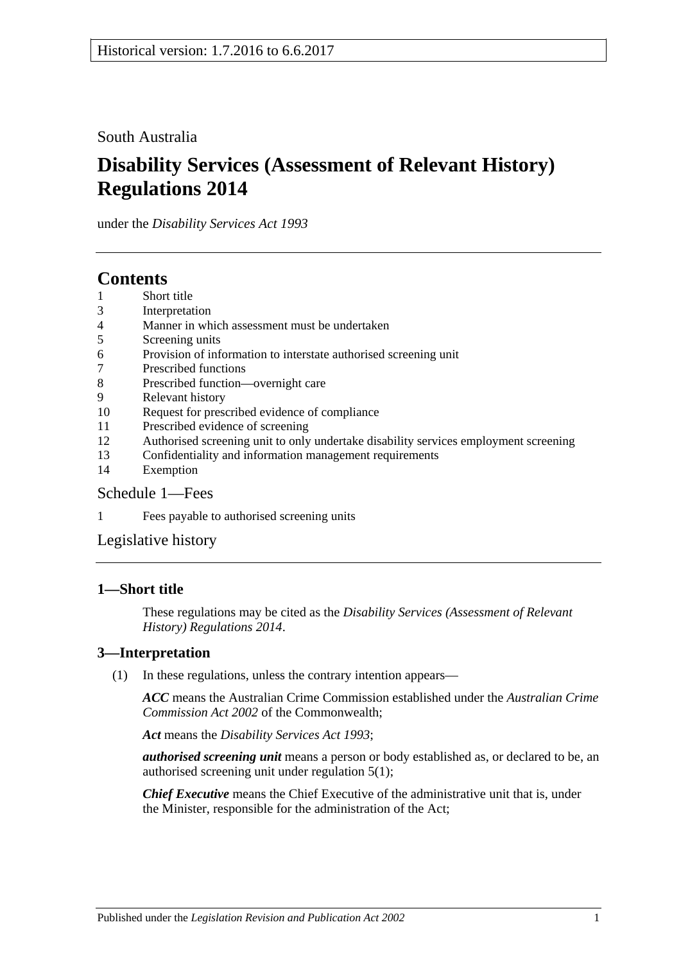South Australia

# **Disability Services (Assessment of Relevant History) Regulations 2014**

under the *Disability Services Act 1993*

## **Contents**

- 1 [Short title](#page-0-0)
- 3 [Interpretation](#page-0-1)
- 4 [Manner in which assessment must be undertaken](#page-1-0)
- 5 [Screening units](#page-1-1)
- 6 [Provision of information to interstate authorised screening unit](#page-1-2)
- 7 [Prescribed functions](#page-1-3)
- 8 [Prescribed function—overnight care](#page-2-0)
- 9 [Relevant history](#page-2-1)
- 10 [Request for prescribed evidence of compliance](#page-3-0)
- 11 [Prescribed evidence of screening](#page-3-1)
- 12 [Authorised screening unit to only undertake disability services employment screening](#page-3-2)
- 13 [Confidentiality and information management requirements](#page-4-0)
- 14 [Exemption](#page-4-1)

### [Schedule](#page-5-0) 1—Fees

1 Fees [payable to authorised screening units](#page-5-1)

[Legislative history](#page-6-0)

## <span id="page-0-0"></span>**1—Short title**

These regulations may be cited as the *Disability Services (Assessment of Relevant History) Regulations 2014*.

### <span id="page-0-1"></span>**3—Interpretation**

(1) In these regulations, unless the contrary intention appears—

*ACC* means the Australian Crime Commission established under the *Australian Crime Commission Act 2002* of the Commonwealth;

*Act* means the *[Disability Services Act](http://www.legislation.sa.gov.au/index.aspx?action=legref&type=act&legtitle=Disability%20Services%20Act%201993) 1993*;

*authorised screening unit* means a person or body established as, or declared to be, an authorised screening unit under [regulation](#page-1-4) 5(1);

*Chief Executive* means the Chief Executive of the administrative unit that is, under the Minister, responsible for the administration of the Act;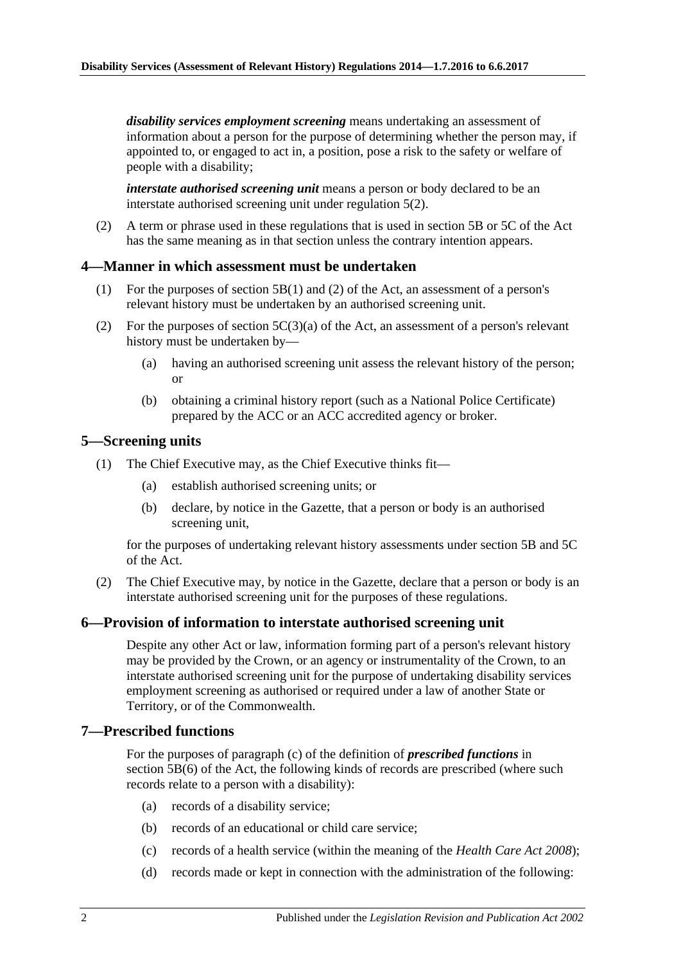*disability services employment screening* means undertaking an assessment of information about a person for the purpose of determining whether the person may, if appointed to, or engaged to act in, a position, pose a risk to the safety or welfare of people with a disability;

*interstate authorised screening unit* means a person or body declared to be an interstate authorised screening unit under [regulation](#page-1-5) 5(2).

(2) A term or phrase used in these regulations that is used in section 5B or 5C of the Act has the same meaning as in that section unless the contrary intention appears.

#### <span id="page-1-0"></span>**4—Manner in which assessment must be undertaken**

- (1) For the purposes of section 5B(1) and (2) of the Act, an assessment of a person's relevant history must be undertaken by an authorised screening unit.
- (2) For the purposes of section  $5C(3)(a)$  of the Act, an assessment of a person's relevant history must be undertaken by—
	- (a) having an authorised screening unit assess the relevant history of the person; or
	- (b) obtaining a criminal history report (such as a National Police Certificate) prepared by the ACC or an ACC accredited agency or broker.

#### <span id="page-1-4"></span><span id="page-1-1"></span>**5—Screening units**

- <span id="page-1-6"></span>(1) The Chief Executive may, as the Chief Executive thinks fit—
	- (a) establish authorised screening units; or
	- (b) declare, by notice in the Gazette, that a person or body is an authorised screening unit,

for the purposes of undertaking relevant history assessments under section 5B and 5C of the Act.

<span id="page-1-5"></span>(2) The Chief Executive may, by notice in the Gazette, declare that a person or body is an interstate authorised screening unit for the purposes of these regulations.

#### <span id="page-1-2"></span>**6—Provision of information to interstate authorised screening unit**

Despite any other Act or law, information forming part of a person's relevant history may be provided by the Crown, or an agency or instrumentality of the Crown, to an interstate authorised screening unit for the purpose of undertaking disability services employment screening as authorised or required under a law of another State or Territory, or of the Commonwealth.

#### <span id="page-1-3"></span>**7—Prescribed functions**

For the purposes of paragraph (c) of the definition of *prescribed functions* in section 5B(6) of the Act, the following kinds of records are prescribed (where such records relate to a person with a disability):

- (a) records of a disability service;
- (b) records of an educational or child care service;
- (c) records of a health service (within the meaning of the *[Health Care Act](http://www.legislation.sa.gov.au/index.aspx?action=legref&type=act&legtitle=Health%20Care%20Act%202008) 2008*);
- (d) records made or kept in connection with the administration of the following: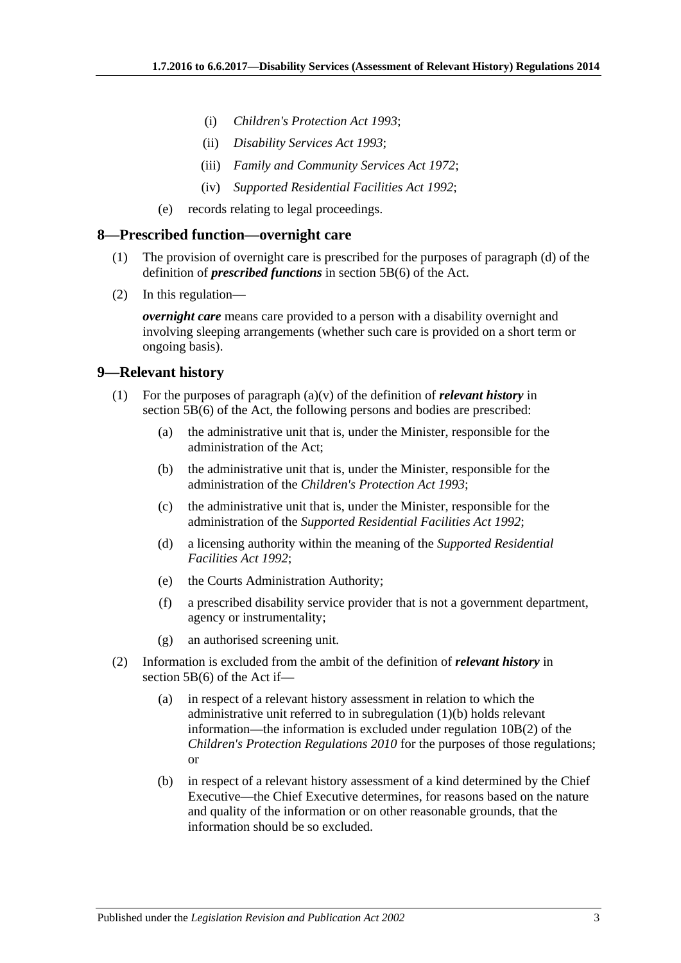- (i) *[Children's Protection Act](http://www.legislation.sa.gov.au/index.aspx?action=legref&type=act&legtitle=Childrens%20Protection%20Act%201993) 1993*;
- (ii) *[Disability Services Act](http://www.legislation.sa.gov.au/index.aspx?action=legref&type=act&legtitle=Disability%20Services%20Act%201993) 1993*;
- (iii) *[Family and Community Services Act](http://www.legislation.sa.gov.au/index.aspx?action=legref&type=act&legtitle=Family%20and%20Community%20Services%20Act%201972) 1972*;
- (iv) *[Supported Residential Facilities Act](http://www.legislation.sa.gov.au/index.aspx?action=legref&type=act&legtitle=Supported%20Residential%20Facilities%20Act%201992) 1992*;
- (e) records relating to legal proceedings.

#### <span id="page-2-0"></span>**8—Prescribed function—overnight care**

- (1) The provision of overnight care is prescribed for the purposes of paragraph (d) of the definition of *prescribed functions* in section 5B(6) of the Act.
- (2) In this regulation—

*overnight care* means care provided to a person with a disability overnight and involving sleeping arrangements (whether such care is provided on a short term or ongoing basis).

#### <span id="page-2-1"></span>**9—Relevant history**

- <span id="page-2-2"></span>(1) For the purposes of paragraph (a)(v) of the definition of *relevant history* in section 5B(6) of the Act, the following persons and bodies are prescribed:
	- (a) the administrative unit that is, under the Minister, responsible for the administration of the Act;
	- (b) the administrative unit that is, under the Minister, responsible for the administration of the *[Children's Protection Act](http://www.legislation.sa.gov.au/index.aspx?action=legref&type=act&legtitle=Childrens%20Protection%20Act%201993) 1993*;
	- (c) the administrative unit that is, under the Minister, responsible for the administration of the *[Supported Residential Facilities Act](http://www.legislation.sa.gov.au/index.aspx?action=legref&type=act&legtitle=Supported%20Residential%20Facilities%20Act%201992) 1992*;
	- (d) a licensing authority within the meaning of the *[Supported Residential](http://www.legislation.sa.gov.au/index.aspx?action=legref&type=act&legtitle=Supported%20Residential%20Facilities%20Act%201992)  [Facilities Act](http://www.legislation.sa.gov.au/index.aspx?action=legref&type=act&legtitle=Supported%20Residential%20Facilities%20Act%201992) 1992*;
	- (e) the Courts Administration Authority;
	- (f) a prescribed disability service provider that is not a government department, agency or instrumentality;
	- (g) an authorised screening unit.
- (2) Information is excluded from the ambit of the definition of *relevant history* in section 5B(6) of the Act if—
	- (a) in respect of a relevant history assessment in relation to which the administrative unit referred to in [subregulation](#page-2-2) (1)(b) holds relevant information—the information is excluded under regulation 10B(2) of the *[Children's Protection Regulations](http://www.legislation.sa.gov.au/index.aspx?action=legref&type=subordleg&legtitle=Childrens%20Protection%20Regulations%202010) 2010* for the purposes of those regulations; or
	- (b) in respect of a relevant history assessment of a kind determined by the Chief Executive—the Chief Executive determines, for reasons based on the nature and quality of the information or on other reasonable grounds, that the information should be so excluded.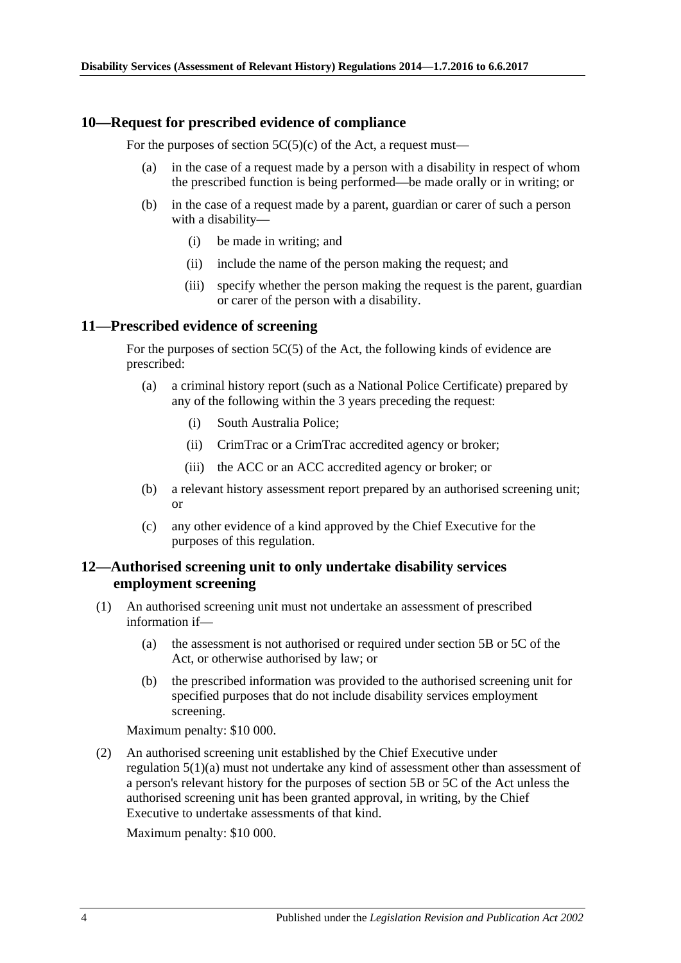#### <span id="page-3-0"></span>**10—Request for prescribed evidence of compliance**

For the purposes of section  $5C(5)(c)$  of the Act, a request must—

- (a) in the case of a request made by a person with a disability in respect of whom the prescribed function is being performed—be made orally or in writing; or
- (b) in the case of a request made by a parent, guardian or carer of such a person with a disability—
	- (i) be made in writing; and
	- (ii) include the name of the person making the request; and
	- (iii) specify whether the person making the request is the parent, guardian or carer of the person with a disability.

#### <span id="page-3-1"></span>**11—Prescribed evidence of screening**

For the purposes of section 5C(5) of the Act, the following kinds of evidence are prescribed:

- (a) a criminal history report (such as a National Police Certificate) prepared by any of the following within the 3 years preceding the request:
	- (i) South Australia Police;
	- (ii) CrimTrac or a CrimTrac accredited agency or broker;
	- (iii) the ACC or an ACC accredited agency or broker; or
- (b) a relevant history assessment report prepared by an authorised screening unit; or
- (c) any other evidence of a kind approved by the Chief Executive for the purposes of this regulation.

#### <span id="page-3-2"></span>**12—Authorised screening unit to only undertake disability services employment screening**

- (1) An authorised screening unit must not undertake an assessment of prescribed information if—
	- (a) the assessment is not authorised or required under section 5B or 5C of the Act, or otherwise authorised by law; or
	- (b) the prescribed information was provided to the authorised screening unit for specified purposes that do not include disability services employment screening.

Maximum penalty: \$10 000.

(2) An authorised screening unit established by the Chief Executive under [regulation](#page-1-6) 5(1)(a) must not undertake any kind of assessment other than assessment of a person's relevant history for the purposes of section 5B or 5C of the Act unless the authorised screening unit has been granted approval, in writing, by the Chief Executive to undertake assessments of that kind.

Maximum penalty: \$10 000.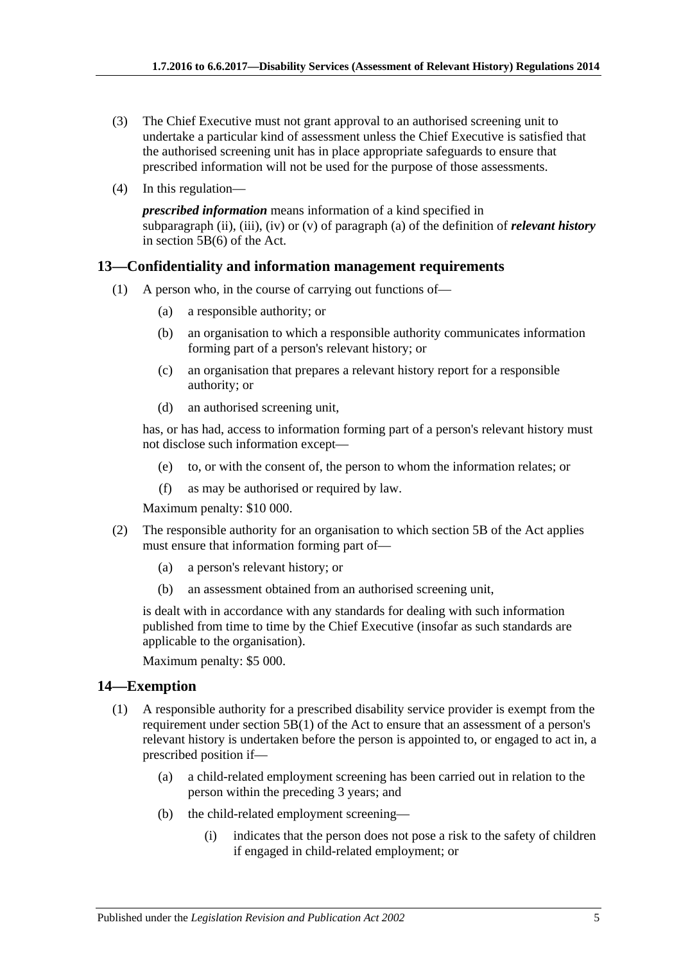- (3) The Chief Executive must not grant approval to an authorised screening unit to undertake a particular kind of assessment unless the Chief Executive is satisfied that the authorised screening unit has in place appropriate safeguards to ensure that prescribed information will not be used for the purpose of those assessments.
- (4) In this regulation—

*prescribed information* means information of a kind specified in subparagraph (ii), (iii), (iv) or (v) of paragraph (a) of the definition of *relevant history* in section  $\overline{5B(6)}$  of the Act.

#### <span id="page-4-0"></span>**13—Confidentiality and information management requirements**

- (1) A person who, in the course of carrying out functions of—
	- (a) a responsible authority; or
	- (b) an organisation to which a responsible authority communicates information forming part of a person's relevant history; or
	- (c) an organisation that prepares a relevant history report for a responsible authority; or
	- (d) an authorised screening unit,

has, or has had, access to information forming part of a person's relevant history must not disclose such information except—

- (e) to, or with the consent of, the person to whom the information relates; or
- (f) as may be authorised or required by law.

Maximum penalty: \$10 000.

- (2) The responsible authority for an organisation to which section 5B of the Act applies must ensure that information forming part of—
	- (a) a person's relevant history; or
	- (b) an assessment obtained from an authorised screening unit,

is dealt with in accordance with any standards for dealing with such information published from time to time by the Chief Executive (insofar as such standards are applicable to the organisation).

Maximum penalty: \$5 000.

#### <span id="page-4-1"></span>**14—Exemption**

- (1) A responsible authority for a prescribed disability service provider is exempt from the requirement under section 5B(1) of the Act to ensure that an assessment of a person's relevant history is undertaken before the person is appointed to, or engaged to act in, a prescribed position if—
	- (a) a child-related employment screening has been carried out in relation to the person within the preceding 3 years; and
	- (b) the child-related employment screening—
		- (i) indicates that the person does not pose a risk to the safety of children if engaged in child-related employment; or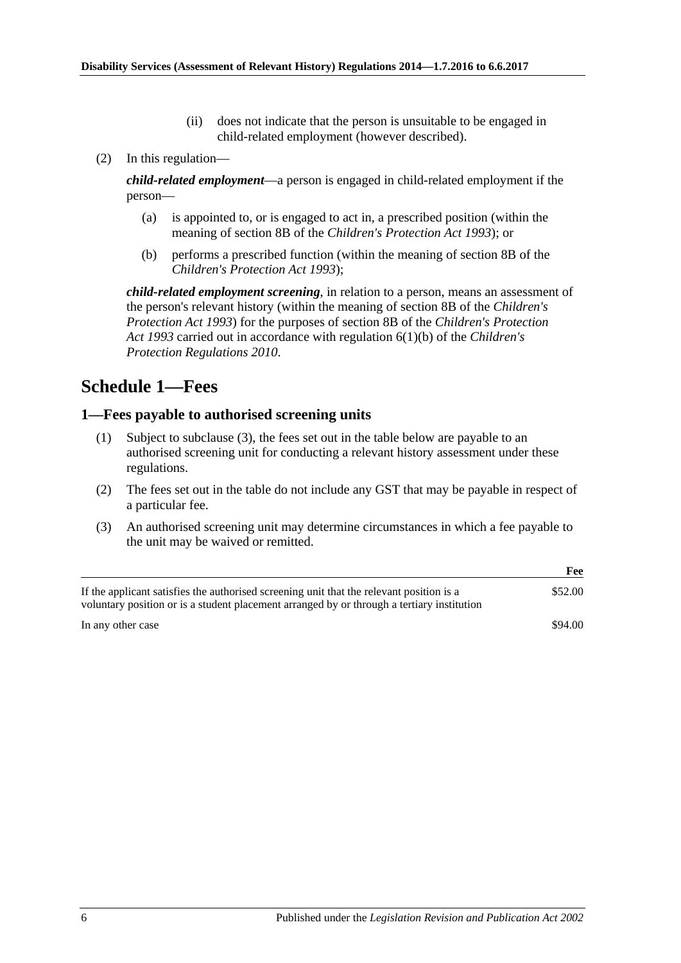- (ii) does not indicate that the person is unsuitable to be engaged in child-related employment (however described).
- (2) In this regulation—

*child-related employment*—a person is engaged in child-related employment if the person—

- (a) is appointed to, or is engaged to act in, a prescribed position (within the meaning of section 8B of the *[Children's Protection Act](http://www.legislation.sa.gov.au/index.aspx?action=legref&type=act&legtitle=Childrens%20Protection%20Act%201993) 1993*); or
- (b) performs a prescribed function (within the meaning of section 8B of the *[Children's Protection Act](http://www.legislation.sa.gov.au/index.aspx?action=legref&type=act&legtitle=Childrens%20Protection%20Act%201993) 1993*);

*child-related employment screening*, in relation to a person, means an assessment of the person's relevant history (within the meaning of section 8B of the *[Children's](http://www.legislation.sa.gov.au/index.aspx?action=legref&type=act&legtitle=Childrens%20Protection%20Act%201993)  [Protection Act](http://www.legislation.sa.gov.au/index.aspx?action=legref&type=act&legtitle=Childrens%20Protection%20Act%201993) 1993*) for the purposes of section 8B of the *[Children's Protection](http://www.legislation.sa.gov.au/index.aspx?action=legref&type=act&legtitle=Childrens%20Protection%20Act%201993)  Act [1993](http://www.legislation.sa.gov.au/index.aspx?action=legref&type=act&legtitle=Childrens%20Protection%20Act%201993)* carried out in accordance with regulation 6(1)(b) of the *[Children's](http://www.legislation.sa.gov.au/index.aspx?action=legref&type=subordleg&legtitle=Childrens%20Protection%20Regulations%202010)  [Protection Regulations](http://www.legislation.sa.gov.au/index.aspx?action=legref&type=subordleg&legtitle=Childrens%20Protection%20Regulations%202010) 2010*.

## <span id="page-5-0"></span>**Schedule 1—Fees**

#### <span id="page-5-1"></span>**1—Fees payable to authorised screening units**

- (1) Subject to [subclause](#page-5-2) (3), the fees set out in the table below are payable to an authorised screening unit for conducting a relevant history assessment under these regulations.
- (2) The fees set out in the table do not include any GST that may be payable in respect of a particular fee.
- <span id="page-5-2"></span>(3) An authorised screening unit may determine circumstances in which a fee payable to the unit may be waived or remitted.

|                                                                                                                                                                                        | Fee     |
|----------------------------------------------------------------------------------------------------------------------------------------------------------------------------------------|---------|
| If the applicant satisfies the authorised screening unit that the relevant position is a<br>voluntary position or is a student placement arranged by or through a tertiary institution | \$52.00 |
| In any other case                                                                                                                                                                      | \$94.00 |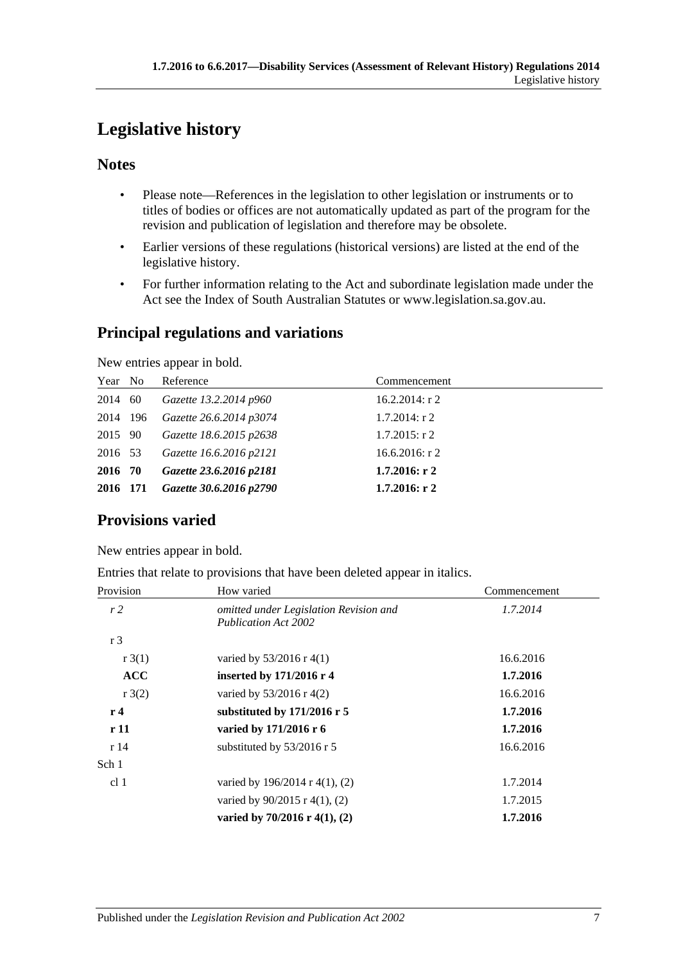# <span id="page-6-0"></span>**Legislative history**

### **Notes**

- Please note—References in the legislation to other legislation or instruments or to titles of bodies or offices are not automatically updated as part of the program for the revision and publication of legislation and therefore may be obsolete.
- Earlier versions of these regulations (historical versions) are listed at the end of the legislative history.
- For further information relating to the Act and subordinate legislation made under the Act see the Index of South Australian Statutes or www.legislation.sa.gov.au.

## **Principal regulations and variations**

New entries appear in bold.

| Year No  | Reference               | Commencement      |
|----------|-------------------------|-------------------|
| 2014 60  | Gazette 13.2.2014 p960  | $16.2.2014$ : r 2 |
| 2014 196 | Gazette 26.6.2014 p3074 | $1.7.2014$ : r 2  |
| 2015 90  | Gazette 18.6.2015 p2638 | $1.7.2015$ : r 2  |
| 2016 53  | Gazette 16.6.2016 p2121 | 16.6.2016: $r$ 2  |
| 2016 70  | Gazette 23.6.2016 p2181 | $1.7.2016$ : r 2  |
| 2016 171 | Gazette 30.6.2016 p2790 | $1.7.2016$ : r 2  |

## **Provisions varied**

New entries appear in bold.

Entries that relate to provisions that have been deleted appear in italics.

| Provision       | How varied                                                            | Commencement |
|-----------------|-----------------------------------------------------------------------|--------------|
| r <sub>2</sub>  | omitted under Legislation Revision and<br><b>Publication Act 2002</b> | 1.7.2014     |
| r <sub>3</sub>  |                                                                       |              |
| r3(1)           | varied by $53/2016$ r 4(1)                                            | 16.6.2016    |
| <b>ACC</b>      | inserted by 171/2016 r 4                                              | 1.7.2016     |
| r3(2)           | varied by $53/2016$ r 4(2)                                            | 16.6.2016    |
| r <sub>4</sub>  | substituted by $171/2016$ r 5                                         | 1.7.2016     |
| r11             | varied by 171/2016 r 6                                                | 1.7.2016     |
| r14             | substituted by $53/2016$ r 5                                          | 16.6.2016    |
| Sch 1           |                                                                       |              |
| cl <sub>1</sub> | varied by $196/2014$ r $4(1)$ , (2)                                   | 1.7.2014     |
|                 | varied by $90/2015$ r 4(1), (2)                                       | 1.7.2015     |
|                 | varied by $70/2016$ r $4(1)$ , (2)                                    | 1.7.2016     |